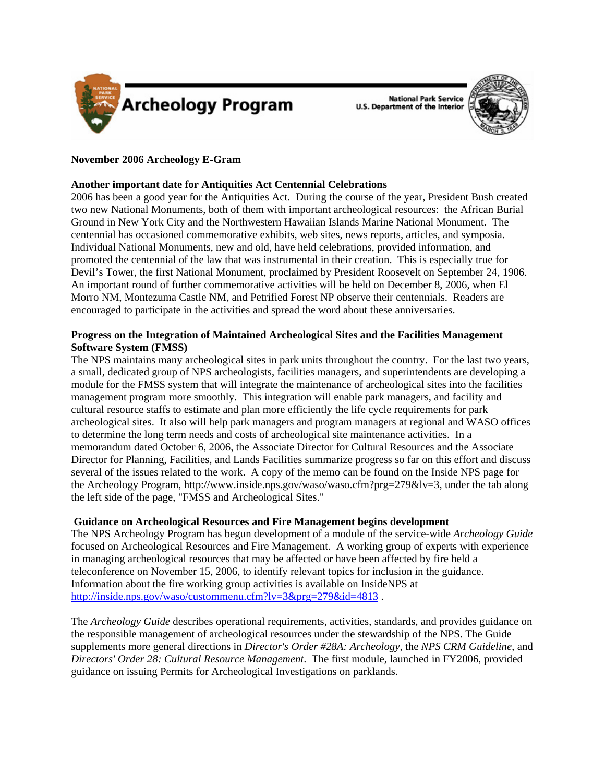

**National Park Service U.S. Department of the Interior** 



# **November 2006 Archeology E-Gram**

# **Another important date for Antiquities Act Centennial Celebrations**

2006 has been a good year for the Antiquities Act. During the course of the year, President Bush created two new National Monuments, both of them with important archeological resources: the African Burial Ground in New York City and the Northwestern Hawaiian Islands Marine National Monument. The centennial has occasioned commemorative exhibits, web sites, news reports, articles, and symposia. Individual National Monuments, new and old, have held celebrations, provided information, and promoted the centennial of the law that was instrumental in their creation. This is especially true for Devil's Tower, the first National Monument, proclaimed by President Roosevelt on September 24, 1906. An important round of further commemorative activities will be held on December 8, 2006, when El Morro NM, Montezuma Castle NM, and Petrified Forest NP observe their centennials. Readers are encouraged to participate in the activities and spread the word about these anniversaries.

# **Progress on the Integration of Maintained Archeological Sites and the Facilities Management Software System (FMSS)**

The NPS maintains many archeological sites in park units throughout the country. For the last two years, a small, dedicated group of NPS archeologists, facilities managers, and superintendents are developing a module for the FMSS system that will integrate the maintenance of archeological sites into the facilities management program more smoothly. This integration will enable park managers, and facility and cultural resource staffs to estimate and plan more efficiently the life cycle requirements for park archeological sites. It also will help park managers and program managers at regional and WASO offices to determine the long term needs and costs of archeological site maintenance activities. In a memorandum dated October 6, 2006, the Associate Director for Cultural Resources and the Associate Director for Planning, Facilities, and Lands Facilities summarize progress so far on this effort and discuss several of the issues related to the work. A copy of the memo can be found on the Inside NPS page for the Archeology Program, http://www.inside.nps.gov/waso/waso.cfm?prg=279&lv=3, under the tab along the left side of the page, "FMSS and Archeological Sites."

### **Guidance on Archeological Resources and Fire Management begins development**

The NPS Archeology Program has begun development of a module of the service-wide *Archeology Guide* focused on Archeological Resources and Fire Management. A working group of experts with experience in managing archeological resources that may be affected or have been affected by fire held a teleconference on November 15, 2006, to identify relevant topics for inclusion in the guidance. Information about the fire working group activities is available on InsideNPS at http://inside.nps.gov/waso/custommenu.cfm?lv=3&prg=279&id=4813.

The *Archeology Guide* describes operational requirements, activities, standards, and provides guidance on the responsible management of archeological resources under the stewardship of the NPS. The Guide supplements more general directions in *Director's Order #28A: Archeology,* the *NPS CRM Guideline*, and *Directors' Order 28: Cultural Resource Management*. The first module, launched in FY2006, provided guidance on issuing Permits for Archeological Investigations on parklands.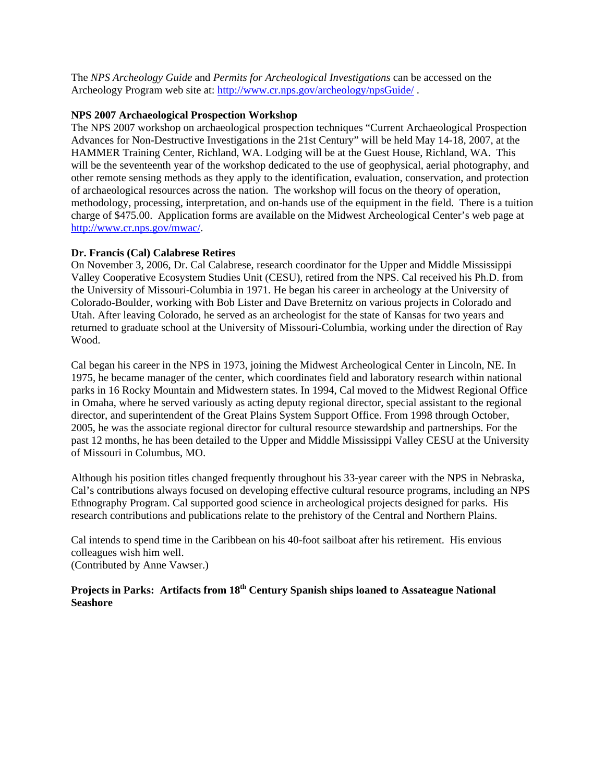The *NPS Archeology Guide* and *Permits for Archeological Investigations* can be accessed on the Archeology Program web site at:<http://www.cr.nps.gov/archeology/npsGuide/> .

#### **NPS 2007 Archaeological Prospection Workshop**

The NPS 2007 workshop on archaeological prospection techniques "Current Archaeological Prospection Advances for Non-Destructive Investigations in the 21st Century" will be held May 14-18, 2007, at the HAMMER Training Center, Richland, WA. Lodging will be at the Guest House, Richland, WA. This will be the seventeenth year of the workshop dedicated to the use of geophysical, aerial photography, and other remote sensing methods as they apply to the identification, evaluation, conservation, and protection of archaeological resources across the nation. The workshop will focus on the theory of operation, methodology, processing, interpretation, and on-hands use of the equipment in the field. There is a tuition charge of \$475.00. Application forms are available on the Midwest Archeological Center's web page at [http://www.cr.nps.gov/mwac/.](http://www.cr.nps.gov/mwac/)

### **Dr. Francis (Cal) Calabrese Retires**

On November 3, 2006, Dr. Cal Calabrese, research coordinator for the Upper and Middle Mississippi Valley Cooperative Ecosystem Studies Unit (CESU), retired from the NPS. Cal received his Ph.D. from the University of Missouri-Columbia in 1971. He began his career in archeology at the University of Colorado-Boulder, working with Bob Lister and Dave Breternitz on various projects in Colorado and Utah. After leaving Colorado, he served as an archeologist for the state of Kansas for two years and returned to graduate school at the University of Missouri-Columbia, working under the direction of Ray Wood.

Cal began his career in the NPS in 1973, joining the Midwest Archeological Center in Lincoln, NE. In 1975, he became manager of the center, which coordinates field and laboratory research within national parks in 16 Rocky Mountain and Midwestern states. In 1994, Cal moved to the Midwest Regional Office in Omaha, where he served variously as acting deputy regional director, special assistant to the regional director, and superintendent of the Great Plains System Support Office. From 1998 through October, 2005, he was the associate regional director for cultural resource stewardship and partnerships. For the past 12 months, he has been detailed to the Upper and Middle Mississippi Valley CESU at the University of Missouri in Columbus, MO.

Although his position titles changed frequently throughout his 33-year career with the NPS in Nebraska, Cal's contributions always focused on developing effective cultural resource programs, including an NPS Ethnography Program. Cal supported good science in archeological projects designed for parks. His research contributions and publications relate to the prehistory of the Central and Northern Plains.

Cal intends to spend time in the Caribbean on his 40-foot sailboat after his retirement. His envious colleagues wish him well. (Contributed by Anne Vawser.)

# Projects in Parks: Artifacts from 18<sup>th</sup> Century Spanish ships loaned to Assateague National **Seashore**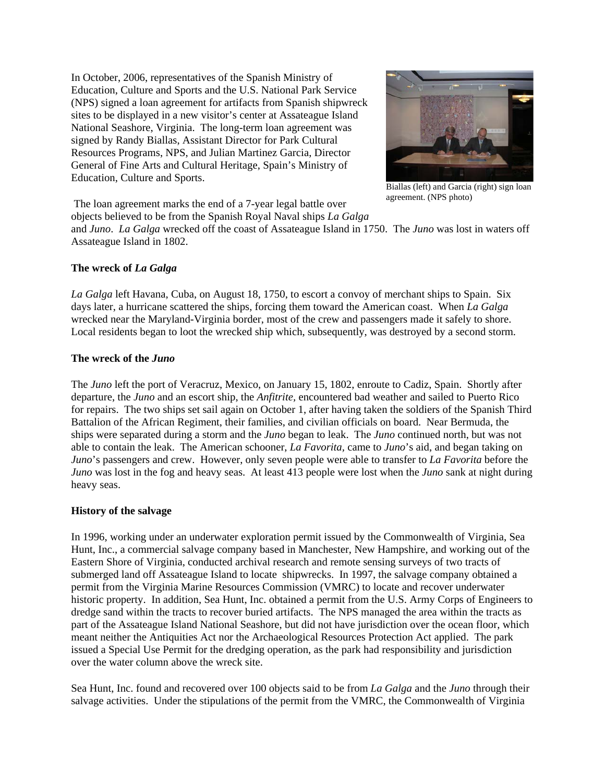In October, 2006, representatives of the Spanish Ministry of Education, Culture and Sports and the U.S. National Park Service (NPS) signed a loan agreement for artifacts from Spanish shipwreck sites to be displayed in a new visitor's center at Assateague Island National Seashore, Virginia. The long-term loan agreement was signed by Randy Biallas, Assistant Director for Park Cultural Resources Programs, NPS, and Julian Martinez Garcia, Director General of Fine Arts and Cultural Heritage, Spain's Ministry of Education, Culture and Sports.



Biallas (left) and Garcia (right) sign loan agreement. (NPS photo)

 The loan agreement marks the end of a 7-year legal battle over objects believed to be from the Spanish Royal Naval ships *La Galga*

and *Juno*. *La Galga* wrecked off the coast of Assateague Island in 1750. The *Juno* was lost in waters off Assateague Island in 1802.

# **The wreck of** *La Galga*

*La Galga* left Havana, Cuba, on August 18, 1750, to escort a convoy of merchant ships to Spain. Six days later, a hurricane scattered the ships, forcing them toward the American coast. When *La Galga* wrecked near the Maryland-Virginia border, most of the crew and passengers made it safely to shore. Local residents began to loot the wrecked ship which, subsequently, was destroyed by a second storm.

# **The wreck of the** *Juno*

The *Juno* left the port of Veracruz, Mexico, on January 15, 1802, enroute to Cadiz, Spain. Shortly after departure, the *Juno* and an escort ship, the *Anfitrite,* encountered bad weather and sailed to Puerto Rico for repairs. The two ships set sail again on October 1, after having taken the soldiers of the Spanish Third Battalion of the African Regiment, their families, and civilian officials on board. Near Bermuda, the ships were separated during a storm and the *Juno* began to leak. The *Juno* continued north, but was not able to contain the leak. The American schooner, *La Favorita,* came to *Juno*'s aid, and began taking on *Juno*'s passengers and crew. However, only seven people were able to transfer to *La Favorita* before the *Juno* was lost in the fog and heavy seas. At least 413 people were lost when the *Juno* sank at night during heavy seas.

# **History of the salvage**

In 1996, working under an underwater exploration permit issued by the Commonwealth of Virginia, Sea Hunt, Inc., a commercial salvage company based in Manchester, New Hampshire, and working out of the Eastern Shore of Virginia, conducted archival research and remote sensing surveys of two tracts of submerged land off Assateague Island to locate shipwrecks. In 1997, the salvage company obtained a permit from the Virginia Marine Resources Commission (VMRC) to locate and recover underwater historic property. In addition, Sea Hunt, Inc. obtained a permit from the U.S. Army Corps of Engineers to dredge sand within the tracts to recover buried artifacts. The NPS managed the area within the tracts as part of the Assateague Island National Seashore, but did not have jurisdiction over the ocean floor, which meant neither the Antiquities Act nor the Archaeological Resources Protection Act applied. The park issued a Special Use Permit for the dredging operation, as the park had responsibility and jurisdiction over the water column above the wreck site.

Sea Hunt, Inc. found and recovered over 100 objects said to be from *La Galga* and the *Juno* through their salvage activities. Under the stipulations of the permit from the VMRC, the Commonwealth of Virginia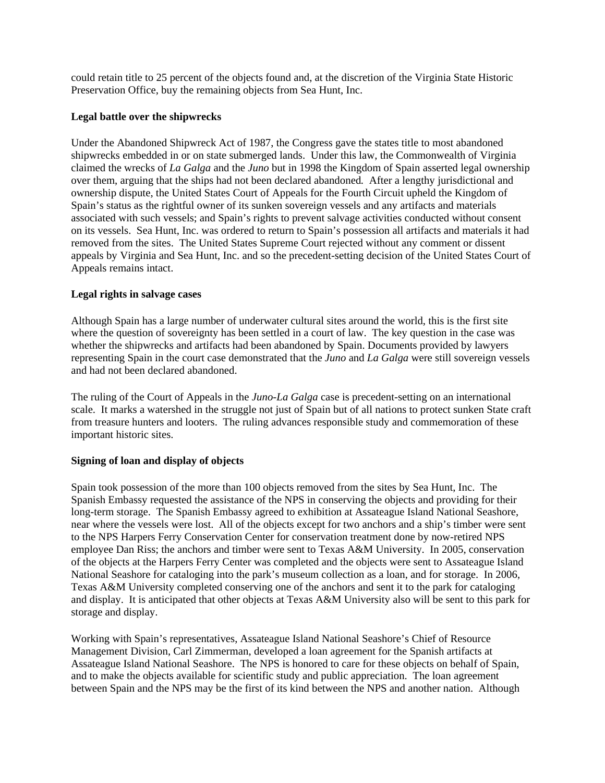could retain title to 25 percent of the objects found and, at the discretion of the Virginia State Historic Preservation Office, buy the remaining objects from Sea Hunt, Inc.

#### **Legal battle over the shipwrecks**

Under the Abandoned Shipwreck Act of 1987, the Congress gave the states title to most abandoned shipwrecks embedded in or on state submerged lands. Under this law, the Commonwealth of Virginia claimed the wrecks of *La Galga* and the *Juno* but in 1998 the Kingdom of Spain asserted legal ownership over them, arguing that the ships had not been declared abandoned*.* After a lengthy jurisdictional and ownership dispute, the United States Court of Appeals for the Fourth Circuit upheld the Kingdom of Spain's status as the rightful owner of its sunken sovereign vessels and any artifacts and materials associated with such vessels; and Spain's rights to prevent salvage activities conducted without consent on its vessels. Sea Hunt, Inc. was ordered to return to Spain's possession all artifacts and materials it had removed from the sites. The United States Supreme Court rejected without any comment or dissent appeals by Virginia and Sea Hunt, Inc. and so the precedent-setting decision of the United States Court of Appeals remains intact.

#### **Legal rights in salvage cases**

Although Spain has a large number of underwater cultural sites around the world, this is the first site where the question of sovereignty has been settled in a court of law. The key question in the case was whether the shipwrecks and artifacts had been abandoned by Spain. Documents provided by lawyers representing Spain in the court case demonstrated that the *Juno* and *La Galga* were still sovereign vessels and had not been declared abandoned.

The ruling of the Court of Appeals in the *Juno-La Galga* case is precedent-setting on an international scale. It marks a watershed in the struggle not just of Spain but of all nations to protect sunken State craft from treasure hunters and looters. The ruling advances responsible study and commemoration of these important historic sites.

### **Signing of loan and display of objects**

Spain took possession of the more than 100 objects removed from the sites by Sea Hunt, Inc. The Spanish Embassy requested the assistance of the NPS in conserving the objects and providing for their long-term storage. The Spanish Embassy agreed to exhibition at Assateague Island National Seashore, near where the vessels were lost. All of the objects except for two anchors and a ship's timber were sent to the NPS Harpers Ferry Conservation Center for conservation treatment done by now-retired NPS employee Dan Riss; the anchors and timber were sent to Texas A&M University. In 2005, conservation of the objects at the Harpers Ferry Center was completed and the objects were sent to Assateague Island National Seashore for cataloging into the park's museum collection as a loan, and for storage. In 2006, Texas A&M University completed conserving one of the anchors and sent it to the park for cataloging and display. It is anticipated that other objects at Texas A&M University also will be sent to this park for storage and display.

Working with Spain's representatives, Assateague Island National Seashore's Chief of Resource Management Division, Carl Zimmerman, developed a loan agreement for the Spanish artifacts at Assateague Island National Seashore. The NPS is honored to care for these objects on behalf of Spain, and to make the objects available for scientific study and public appreciation. The loan agreement between Spain and the NPS may be the first of its kind between the NPS and another nation. Although